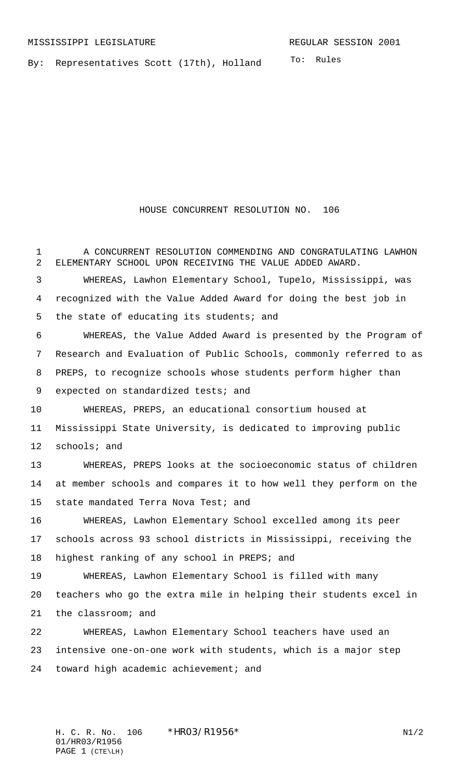To: Rules

By: Representatives Scott (17th), Holland

HOUSE CONCURRENT RESOLUTION NO. 106

1 A CONCURRENT RESOLUTION COMMENDING AND CONGRATULATING LAWHON ELEMENTARY SCHOOL UPON RECEIVING THE VALUE ADDED AWARD. WHEREAS, Lawhon Elementary School, Tupelo, Mississippi, was recognized with the Value Added Award for doing the best job in 5 the state of educating its students; and WHEREAS, the Value Added Award is presented by the Program of Research and Evaluation of Public Schools, commonly referred to as PREPS, to recognize schools whose students perform higher than 9 expected on standardized tests; and WHEREAS, PREPS, an educational consortium housed at Mississippi State University, is dedicated to improving public schools; and WHEREAS, PREPS looks at the socioeconomic status of children at member schools and compares it to how well they perform on the 15 state mandated Terra Nova Test; and WHEREAS, Lawhon Elementary School excelled among its peer schools across 93 school districts in Mississippi, receiving the highest ranking of any school in PREPS; and WHEREAS, Lawhon Elementary School is filled with many teachers who go the extra mile in helping their students excel in the classroom; and WHEREAS, Lawhon Elementary School teachers have used an intensive one-on-one work with students, which is a major step toward high academic achievement; and